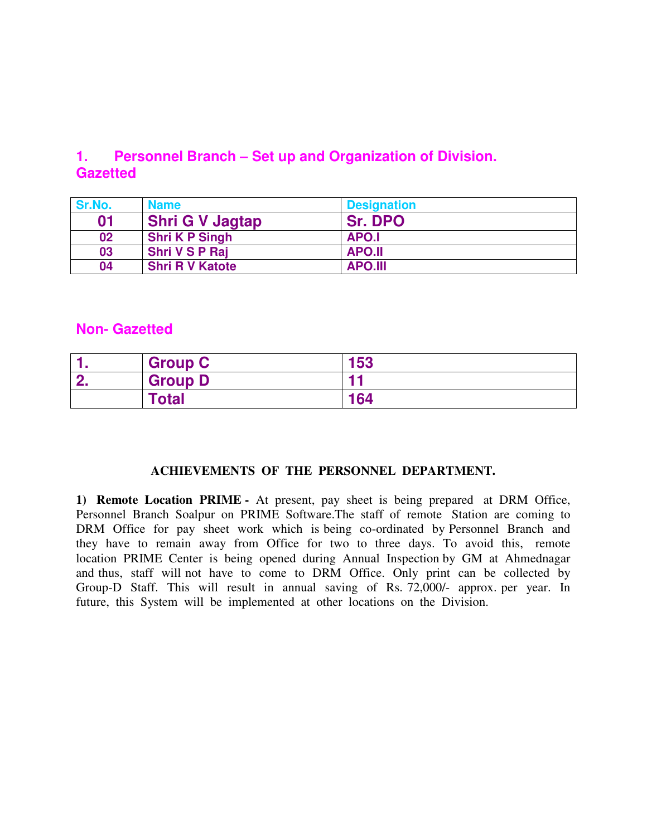# **1. Personnel Branch – Set up and Organization of Division. Gazetted**

| Sr.No. | <b>Name</b>            | <b>Designation</b> |
|--------|------------------------|--------------------|
| 01     | <b>Shri G V Jagtap</b> | <b>Sr. DPO</b>     |
| 02     | <b>Shri K P Singh</b>  | APO.I              |
| 03     | <b>Shri V S P Raj</b>  | <b>APO.II</b>      |
| 04     | <b>Shri R V Katote</b> | <b>APO.III</b>     |

## **Non- Gazetted**

|          | <b>Group C</b> | 153 |
|----------|----------------|-----|
| <b>C</b> | <b>Group D</b> |     |
|          | Total          | 164 |

#### **ACHIEVEMENTS OF THE PERSONNEL DEPARTMENT.**

**1) Remote Location PRIME -** At present, pay sheet is being prepared at DRM Office, Personnel Branch Soalpur on PRIME Software.The staff of remote Station are coming to DRM Office for pay sheet work which is being co-ordinated by Personnel Branch and they have to remain away from Office for two to three days. To avoid this, remote location PRIME Center is being opened during Annual Inspection by GM at Ahmednagar and thus, staff will not have to come to DRM Office. Only print can be collected by Group-D Staff. This will result in annual saving of Rs. 72,000/- approx. per year. In future, this System will be implemented at other locations on the Division.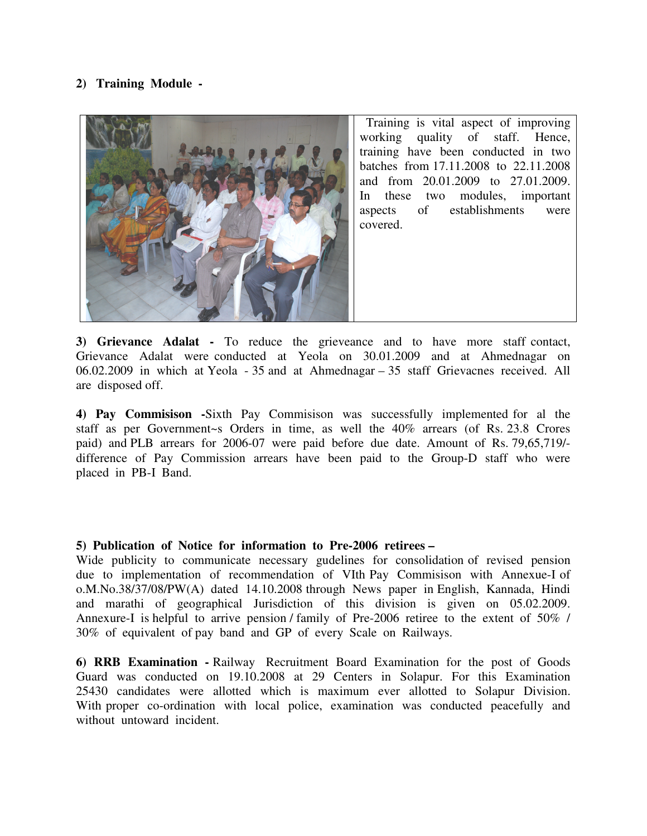#### **2) Training Module -**



**3) Grievance Adalat -** To reduce the grieveance and to have more staff contact, Grievance Adalat were conducted at Yeola on 30.01.2009 and at Ahmednagar on 06.02.2009 in which at Yeola - 35 and at Ahmednagar – 35 staff Grievacnes received. All are disposed off.

**4) Pay Commisison -**Sixth Pay Commisison was successfully implemented for al the staff as per Government~s Orders in time, as well the 40% arrears (of Rs. 23.8 Crores paid) and PLB arrears for 2006-07 were paid before due date. Amount of Rs. 79,65,719/ difference of Pay Commission arrears have been paid to the Group-D staff who were placed in PB-I Band.

#### **5) Publication of Notice for information to Pre-2006 retirees –**

Wide publicity to communicate necessary gudelines for consolidation of revised pension due to implementation of recommendation of VIth Pay Commisison with Annexue-I of o.M.No.38/37/08/PW(A) dated 14.10.2008 through News paper in English, Kannada, Hindi and marathi of geographical Jurisdiction of this division is given on 05.02.2009. Annexure-I is helpful to arrive pension / family of Pre-2006 retiree to the extent of 50% / 30% of equivalent of pay band and GP of every Scale on Railways.

**6) RRB Examination -** Railway Recruitment Board Examination for the post of Goods Guard was conducted on 19.10.2008 at 29 Centers in Solapur. For this Examination 25430 candidates were allotted which is maximum ever allotted to Solapur Division. With proper co-ordination with local police, examination was conducted peacefully and without untoward incident.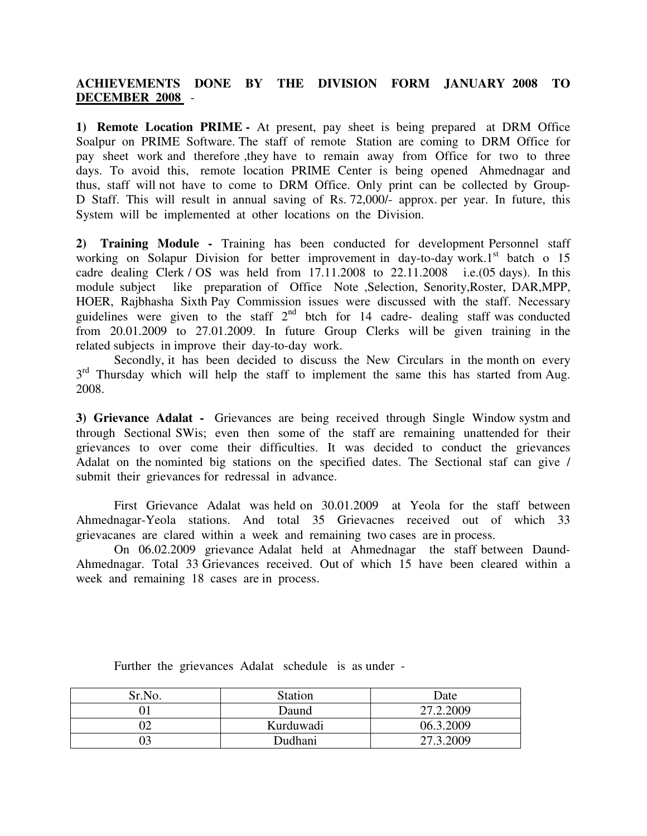### **ACHIEVEMENTS DONE BY THE DIVISION FORM JANUARY 2008 TO DECEMBER 2008** -

**1) Remote Location PRIME -** At present, pay sheet is being prepared at DRM Office Soalpur on PRIME Software. The staff of remote Station are coming to DRM Office for pay sheet work and therefore ,they have to remain away from Office for two to three days. To avoid this, remote location PRIME Center is being opened Ahmednagar and thus, staff will not have to come to DRM Office. Only print can be collected by Group-D Staff. This will result in annual saving of Rs. 72,000/- approx. per year. In future, this System will be implemented at other locations on the Division.

**2) Training Module -** Training has been conducted for development Personnel staff working on Solapur Division for better improvement in day-to-day work.<sup>1st</sup> batch o 15 cadre dealing Clerk / OS was held from 17.11.2008 to 22.11.2008 i.e.(05 days). In this module subject like preparation of Office Note ,Selection, Senority,Roster, DAR,MPP, HOER, Rajbhasha Sixth Pay Commission issues were discussed with the staff. Necessary guidelines were given to the staff  $2<sup>nd</sup>$  btch for 14 cadre- dealing staff was conducted from 20.01.2009 to 27.01.2009. In future Group Clerks will be given training in the related subjects in improve their day-to-day work.

 Secondly, it has been decided to discuss the New Circulars in the month on every  $3<sup>rd</sup>$  Thursday which will help the staff to implement the same this has started from Aug. 2008.

**3) Grievance Adalat -** Grievances are being received through Single Window systm and throughSectional SWis; even then some of the staff are remaining unattended for their grievances to over come their difficulties. It was decided to conduct the grievances Adalat on the nominted big stations on the specified dates. The Sectional staf can give / submit their grievances for redressal in advance.

First Grievance Adalat was held on 30.01.2009 at Yeola for the staff between Ahmednagar-Yeola stations. And total 35 Grievacnes received out of which 33 grievacanes are clared within a week and remaining two cases are in process.

 On 06.02.2009 grievance Adalat held at Ahmednagar the staff between Daund-Ahmednagar. Total 33 Grievances received. Out of which 15 have been cleared within a week and remaining 18 cases are in process.

| Sr.No. | <b>Station</b> | Date      |
|--------|----------------|-----------|
|        | Daund          | 27.2.2009 |
|        | Kurduwadi      | 06.3.2009 |
|        | Dudhani        | 27.3.2009 |

Further the grievances Adalat schedule is as under -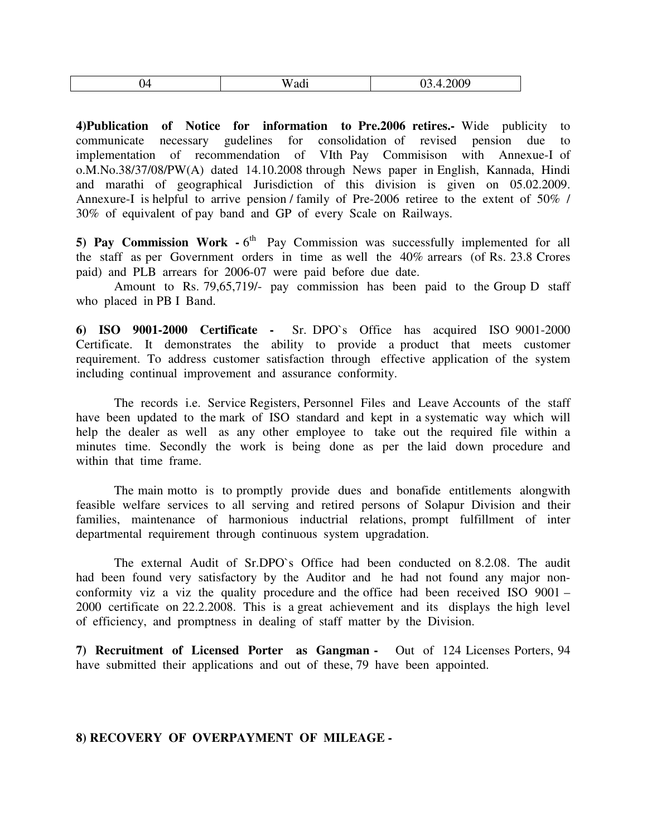| $\overline{\phantom{a}}$<br>∸י<br>ິ<br>$\sim$ | $- - -$<br>. .<br>W<br>au<br>$\cdots$ | 100 <sup>c</sup><br>WV. |
|-----------------------------------------------|---------------------------------------|-------------------------|
|-----------------------------------------------|---------------------------------------|-------------------------|

**4)Publication of Notice for information to Pre.2006 retires.-** Wide publicity to communicate necessary gudelines for consolidation of revised pension due to implementation of recommendation of VIth Pay Commisison with Annexue-I of o.M.No.38/37/08/PW(A) dated 14.10.2008 through News paper in English, Kannada, Hindi and marathi of geographical Jurisdiction of this division is given on 05.02.2009. Annexure-I is helpful to arrive pension / family of Pre-2006 retiree to the extent of 50% / 30% of equivalent of pay band and GP of every Scale on Railways.

5) Pay Commission Work - 6<sup>th</sup> Pay Commission was successfully implemented for all the staff as per Government orders in time as well the 40% arrears (of Rs. 23.8 Crores paid) and PLB arrears for 2006-07 were paid before due date.

 Amount to Rs. 79,65,719/- pay commission has been paid to the Group D staff who placed in PB I Band.

**6) ISO 9001-2000 Certificate -** Sr. DPO`s Office has acquired ISO 9001-2000 Certificate. It demonstrates the ability to provide a product that meets customer requirement. To address customer satisfaction through effective application of the system including continual improvement and assurance conformity.

 The records i.e. Service Registers, Personnel Files and Leave Accounts of the staff have been updated to the mark of ISO standard and kept in a systematic way which will help the dealer as well as any other employee to take out the required file within a minutes time. Secondly the work is being done as per the laid down procedure and within that time frame.

 The main motto is to promptly provide dues and bonafide entitlements alongwith feasible welfare services to all serving and retired persons of Solapur Division and their families, maintenance of harmonious inductrial relations, prompt fulfillment of inter departmental requirement through continuous system upgradation.

 The external Audit of Sr.DPO`s Office had been conducted on 8.2.08. The audit had been found very satisfactory by the Auditor and he had not found any major nonconformity viz a viz the quality procedure and the office had been received ISO 9001 – 2000 certificate on 22.2.2008. This is a great achievement and its displays the high level of efficiency, and promptness in dealing of staff matter by the Division.

**7) Recruitment of Licensed Porter as Gangman -** Out of 124 Licenses Porters, 94 have submitted their applications and out of these, 79 have been appointed.

#### **8) RECOVERY OF OVERPAYMENT OF MILEAGE -**